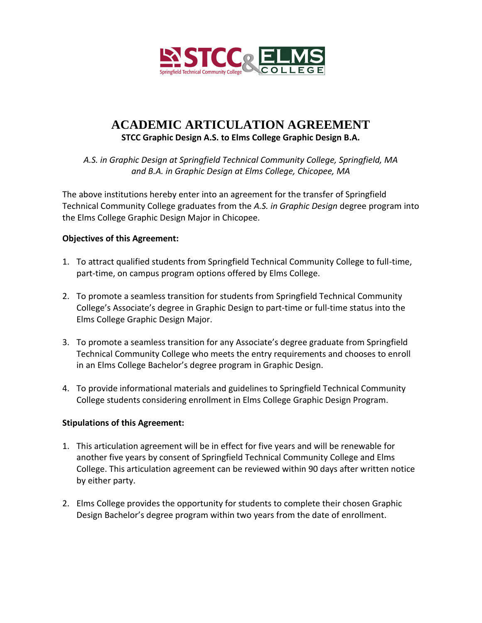

# **ACADEMIC ARTICULATION AGREEMENT STCC Graphic Design A.S. to Elms College Graphic Design B.A.**

*A.S. in Graphic Design at Springfield Technical Community College, Springfield, MA and B.A. in Graphic Design at Elms College, Chicopee, MA*

The above institutions hereby enter into an agreement for the transfer of Springfield Technical Community College graduates from the *A.S. in Graphic Design* degree program into the Elms College Graphic Design Major in Chicopee.

## **Objectives of this Agreement:**

- 1. To attract qualified students from Springfield Technical Community College to full-time, part-time, on campus program options offered by Elms College.
- 2. To promote a seamless transition for students from Springfield Technical Community College's Associate's degree in Graphic Design to part-time or full-time status into the Elms College Graphic Design Major.
- 3. To promote a seamless transition for any Associate's degree graduate from Springfield Technical Community College who meets the entry requirements and chooses to enroll in an Elms College Bachelor's degree program in Graphic Design.
- 4. To provide informational materials and guidelines to Springfield Technical Community College students considering enrollment in Elms College Graphic Design Program.

#### **Stipulations of this Agreement:**

- 1. This articulation agreement will be in effect for five years and will be renewable for another five years by consent of Springfield Technical Community College and Elms College. This articulation agreement can be reviewed within 90 days after written notice by either party.
- 2. Elms College provides the opportunity for students to complete their chosen Graphic Design Bachelor's degree program within two years from the date of enrollment.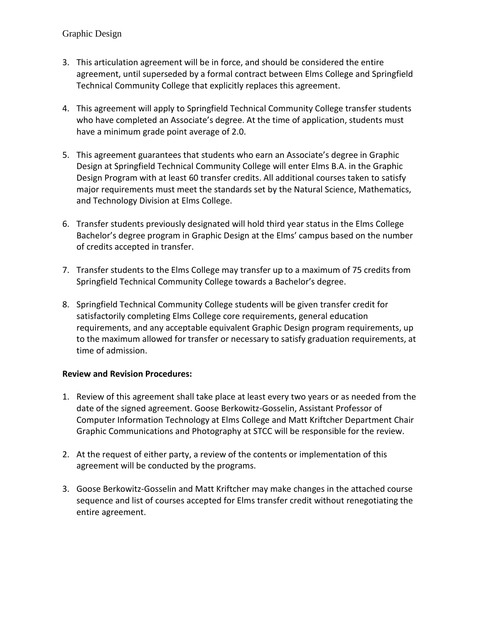## Graphic Design

- 3. This articulation agreement will be in force, and should be considered the entire agreement, until superseded by a formal contract between Elms College and Springfield Technical Community College that explicitly replaces this agreement.
- 4. This agreement will apply to Springfield Technical Community College transfer students who have completed an Associate's degree. At the time of application, students must have a minimum grade point average of 2.0.
- 5. This agreement guarantees that students who earn an Associate's degree in Graphic Design at Springfield Technical Community College will enter Elms B.A. in the Graphic Design Program with at least 60 transfer credits. All additional courses taken to satisfy major requirements must meet the standards set by the Natural Science, Mathematics, and Technology Division at Elms College.
- 6. Transfer students previously designated will hold third year status in the Elms College Bachelor's degree program in Graphic Design at the Elms' campus based on the number of credits accepted in transfer.
- 7. Transfer students to the Elms College may transfer up to a maximum of 75 credits from Springfield Technical Community College towards a Bachelor's degree.
- 8. Springfield Technical Community College students will be given transfer credit for satisfactorily completing Elms College core requirements, general education requirements, and any acceptable equivalent Graphic Design program requirements, up to the maximum allowed for transfer or necessary to satisfy graduation requirements, at time of admission.

## **Review and Revision Procedures:**

- 1. Review of this agreement shall take place at least every two years or as needed from the date of the signed agreement. Goose Berkowitz-Gosselin, Assistant Professor of Computer Information Technology at Elms College and Matt Kriftcher Department Chair Graphic Communications and Photography at STCC will be responsible for the review.
- 2. At the request of either party, a review of the contents or implementation of this agreement will be conducted by the programs.
- 3. Goose Berkowitz-Gosselin and Matt Kriftcher may make changes in the attached course sequence and list of courses accepted for Elms transfer credit without renegotiating the entire agreement.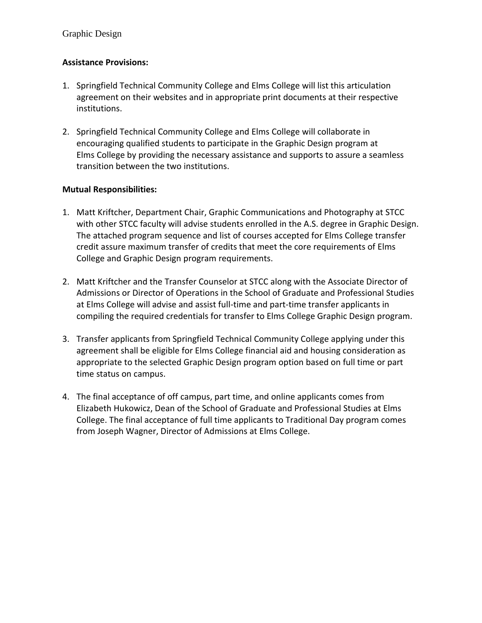# **Assistance Provisions:**

- 1. Springfield Technical Community College and Elms College will list this articulation agreement on their websites and in appropriate print documents at their respective institutions.
- 2. Springfield Technical Community College and Elms College will collaborate in encouraging qualified students to participate in the Graphic Design program at Elms College by providing the necessary assistance and supports to assure a seamless transition between the two institutions.

## **Mutual Responsibilities:**

- 1. Matt Kriftcher, Department Chair, Graphic Communications and Photography at STCC with other STCC faculty will advise students enrolled in the A.S. degree in Graphic Design. The attached program sequence and list of courses accepted for Elms College transfer credit assure maximum transfer of credits that meet the core requirements of Elms College and Graphic Design program requirements.
- 2. Matt Kriftcher and the Transfer Counselor at STCC along with the Associate Director of Admissions or Director of Operations in the School of Graduate and Professional Studies at Elms College will advise and assist full-time and part-time transfer applicants in compiling the required credentials for transfer to Elms College Graphic Design program.
- 3. Transfer applicants from Springfield Technical Community College applying under this agreement shall be eligible for Elms College financial aid and housing consideration as appropriate to the selected Graphic Design program option based on full time or part time status on campus.
- 4. The final acceptance of off campus, part time, and online applicants comes from Elizabeth Hukowicz, Dean of the School of Graduate and Professional Studies at Elms College. The final acceptance of full time applicants to Traditional Day program comes from Joseph Wagner, Director of Admissions at Elms College.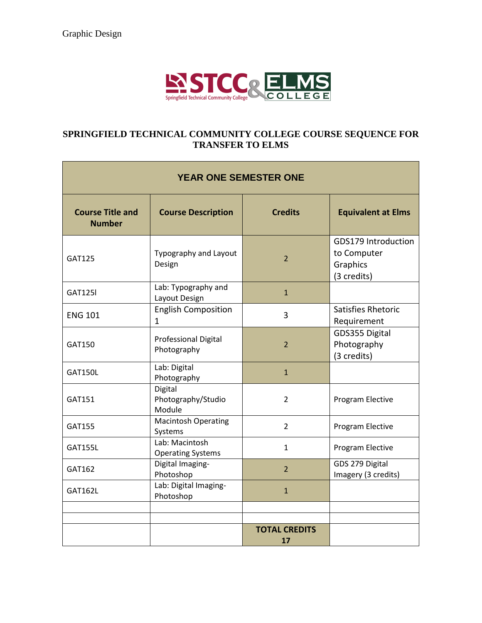

## **SPRINGFIELD TECHNICAL COMMUNITY COLLEGE COURSE SEQUENCE FOR TRANSFER TO ELMS**

| <b>YEAR ONE SEMESTER ONE</b>             |                                            |                            |                                                               |
|------------------------------------------|--------------------------------------------|----------------------------|---------------------------------------------------------------|
| <b>Course Title and</b><br><b>Number</b> | <b>Course Description</b>                  | <b>Credits</b>             | <b>Equivalent at Elms</b>                                     |
| <b>GAT125</b>                            | Typography and Layout<br>Design            | $\overline{2}$             | GDS179 Introduction<br>to Computer<br>Graphics<br>(3 credits) |
| <b>GAT125I</b>                           | Lab: Typography and<br>Layout Design       | $\mathbf{1}$               |                                                               |
| <b>ENG 101</b>                           | <b>English Composition</b><br>1            | 3                          | Satisfies Rhetoric<br>Requirement                             |
| GAT150                                   | <b>Professional Digital</b><br>Photography | $\overline{2}$             | GDS355 Digital<br>Photography<br>(3 credits)                  |
| <b>GAT150L</b>                           | Lab: Digital<br>Photography                | $\mathbf{1}$               |                                                               |
| GAT151                                   | Digital<br>Photography/Studio<br>Module    | $\overline{2}$             | Program Elective                                              |
| GAT155                                   | <b>Macintosh Operating</b><br>Systems      | $\overline{2}$             | Program Elective                                              |
| <b>GAT155L</b>                           | Lab: Macintosh<br><b>Operating Systems</b> | $\mathbf{1}$               | Program Elective                                              |
| GAT162                                   | Digital Imaging-<br>Photoshop              | $\overline{2}$             | GDS 279 Digital<br>Imagery (3 credits)                        |
| <b>GAT162L</b>                           | Lab: Digital Imaging-<br>Photoshop         | $\mathbf{1}$               |                                                               |
|                                          |                                            |                            |                                                               |
|                                          |                                            | <b>TOTAL CREDITS</b><br>17 |                                                               |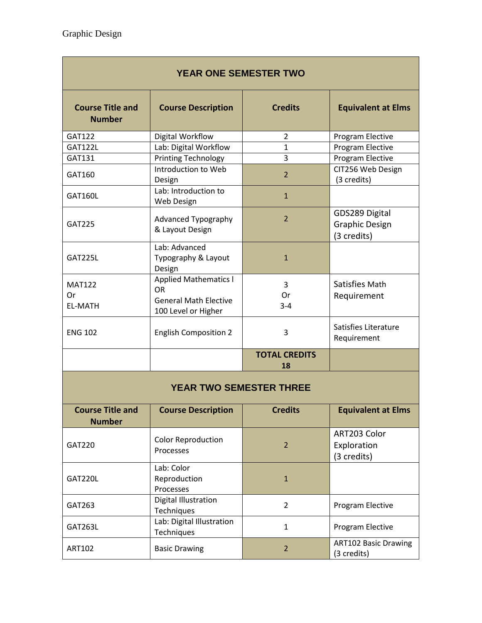| <b>YEAR ONE SEMESTER TWO</b>             |                                                                                           |                            |                                                        |  |
|------------------------------------------|-------------------------------------------------------------------------------------------|----------------------------|--------------------------------------------------------|--|
| <b>Course Title and</b><br><b>Number</b> | <b>Course Description</b>                                                                 | <b>Credits</b>             | <b>Equivalent at Elms</b>                              |  |
| GAT122                                   | Digital Workflow                                                                          | $\overline{2}$             | Program Elective                                       |  |
| <b>GAT122L</b>                           | Lab: Digital Workflow                                                                     | $\mathbf{1}$               | Program Elective                                       |  |
| GAT131                                   | <b>Printing Technology</b>                                                                | 3                          | Program Elective                                       |  |
| GAT160                                   | Introduction to Web<br>Design                                                             | $\overline{2}$             | CIT256 Web Design<br>(3 credits)                       |  |
| <b>GAT160L</b>                           | Lab: Introduction to<br>Web Design                                                        | $\mathbf{1}$               |                                                        |  |
| GAT225                                   | Advanced Typography<br>& Layout Design                                                    | $\overline{2}$             | GDS289 Digital<br><b>Graphic Design</b><br>(3 credits) |  |
| <b>GAT225L</b>                           | Lab: Advanced<br>Typography & Layout<br>Design                                            | $\mathbf{1}$               |                                                        |  |
| <b>MAT122</b><br>Or<br><b>EL-MATH</b>    | <b>Applied Mathematics I</b><br>OR<br><b>General Math Elective</b><br>100 Level or Higher | 3<br>Or<br>$3 - 4$         | Satisfies Math<br>Requirement                          |  |
| <b>ENG 102</b>                           | <b>English Composition 2</b>                                                              | 3                          | Satisfies Literature<br>Requirement                    |  |
|                                          |                                                                                           | <b>TOTAL CREDITS</b><br>18 |                                                        |  |
| <b>YEAR TWO SEMESTER THREE</b>           |                                                                                           |                            |                                                        |  |
| <b>Course Title and</b><br><b>Number</b> | <b>Course Description</b>                                                                 | <b>Credits</b>             | <b>Equivalent at Elms</b>                              |  |
| GAT220                                   | <b>Color Reproduction</b><br>Processes                                                    | $\overline{2}$             | ART203 Color<br>Exploration<br>(3 credits)             |  |
| GAT220L                                  | Lab: Color<br>Reproduction<br>Processes                                                   | $\mathbf{1}$               |                                                        |  |

GAT263 Digital Illustration Digital Illustration<br>Techniques Program Elective GAT263L Lab: Digital Illustration 1 Program Elective ART102 Basic Drawing 2 ART102 Basic Drawing (3 credits)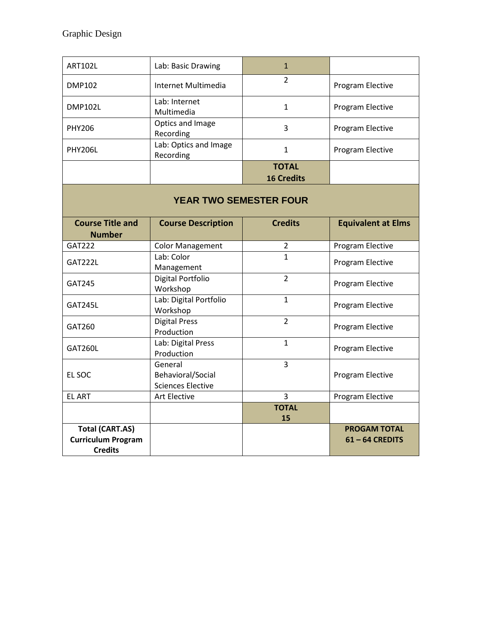| <b>ART102L</b>                | Lab: Basic Drawing                                       | $\mathbf{1}$                      |                           |
|-------------------------------|----------------------------------------------------------|-----------------------------------|---------------------------|
| <b>DMP102</b>                 | Internet Multimedia                                      | $\overline{2}$                    | Program Elective          |
| <b>DMP102L</b>                | Lab: Internet<br>Multimedia                              | 1                                 | Program Elective          |
| <b>PHY206</b>                 | Optics and Image<br>Recording                            | 3                                 | Program Elective          |
| <b>PHY206L</b>                | Lab: Optics and Image<br>Recording                       | $\mathbf{1}$                      | Program Elective          |
|                               |                                                          | <b>TOTAL</b><br><b>16 Credits</b> |                           |
| <b>YEAR TWO SEMESTER FOUR</b> |                                                          |                                   |                           |
| <b>Course Title and</b>       | <b>Course Description</b>                                | <b>Credits</b>                    | <b>Equivalent at Elms</b> |
| <b>Number</b>                 |                                                          |                                   |                           |
| <b>GAT222</b>                 | <b>Color Management</b>                                  | $\overline{2}$                    | Program Elective          |
| GAT222L                       | Lab: Color<br>Management                                 | $\mathbf{1}$                      | Program Elective          |
| GAT245                        | Digital Portfolio<br>Workshop                            | $\overline{2}$                    | Program Elective          |
| GAT245L                       | Lab: Digital Portfolio<br>Workshop                       | $\mathbf{1}$                      | Program Elective          |
| GAT260                        | <b>Digital Press</b><br>Production                       | $\overline{2}$                    | Program Elective          |
| GAT260L                       | Lab: Digital Press<br>Production                         | $\mathbf{1}$                      | Program Elective          |
| EL SOC                        | General<br>Behavioral/Social<br><b>Sciences Elective</b> | 3                                 | Program Elective          |
| <b>EL ART</b>                 | Art Elective                                             | $\overline{3}$                    | Program Elective          |
|                               |                                                          | <b>TOTAL</b>                      |                           |
|                               |                                                          | 15                                |                           |
| <b>Total (CART.AS)</b>        |                                                          |                                   | <b>PROGAM TOTAL</b>       |
| <b>Curriculum Program</b>     |                                                          |                                   | $61 - 64$ CREDITS         |
| <b>Credits</b>                |                                                          |                                   |                           |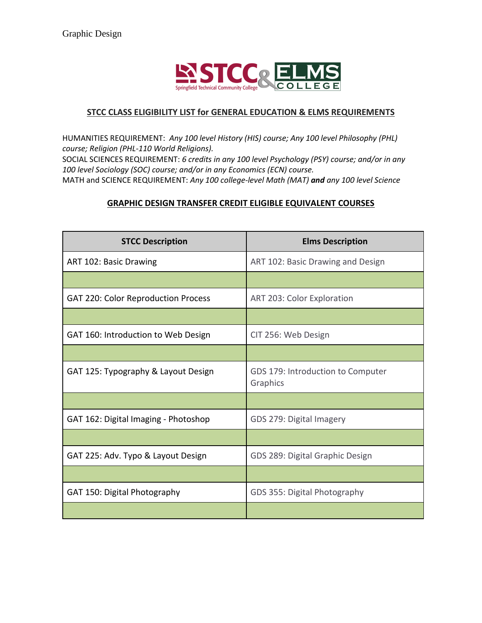

## **STCC CLASS ELIGIBILITY LIST for GENERAL EDUCATION & ELMS REQUIREMENTS**

HUMANITIES REQUIREMENT: *Any 100 level History (HIS) course; Any 100 level Philosophy (PHL) course; Religion (PHL-110 World Religions).*

SOCIAL SCIENCES REQUIREMENT: *6 credits in any 100 level Psychology (PSY) course; and/or in any 100 level Sociology (SOC) course; and/or in any Economics (ECN) course.*  MATH and SCIENCE REQUIREMENT: *Any 100 college-level Math (MAT) and any 100 level Science* 

## **GRAPHIC DESIGN TRANSFER CREDIT ELIGIBLE EQUIVALENT COURSES**

| <b>STCC Description</b>              | <b>Elms Description</b>                       |  |
|--------------------------------------|-----------------------------------------------|--|
| ART 102: Basic Drawing               | ART 102: Basic Drawing and Design             |  |
|                                      |                                               |  |
| GAT 220: Color Reproduction Process  | ART 203: Color Exploration                    |  |
|                                      |                                               |  |
| GAT 160: Introduction to Web Design  | CIT 256: Web Design                           |  |
|                                      |                                               |  |
| GAT 125: Typography & Layout Design  | GDS 179: Introduction to Computer<br>Graphics |  |
|                                      |                                               |  |
| GAT 162: Digital Imaging - Photoshop | GDS 279: Digital Imagery                      |  |
|                                      |                                               |  |
| GAT 225: Adv. Typo & Layout Design   | GDS 289: Digital Graphic Design               |  |
|                                      |                                               |  |
| GAT 150: Digital Photography         | GDS 355: Digital Photography                  |  |
|                                      |                                               |  |